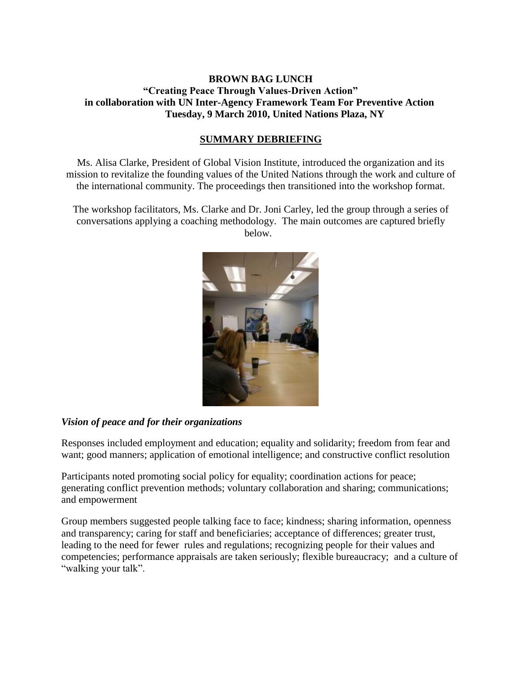# **BROWN BAG LUNCH "Creating Peace Through Values-Driven Action" in collaboration with UN Inter-Agency Framework Team For Preventive Action Tuesday, 9 March 2010, United Nations Plaza, NY**

### **SUMMARY DEBRIEFING**

Ms. Alisa Clarke, President of Global Vision Institute, introduced the organization and its mission to revitalize the founding values of the United Nations through the work and culture of the international community. The proceedings then transitioned into the workshop format.

The workshop facilitators, Ms. Clarke and Dr. Joni Carley, led the group through a series of conversations applying a coaching methodology. The main outcomes are captured briefly below.



#### *Vision of peace and for their organizations*

Responses included employment and education; equality and solidarity; freedom from fear and want; good manners; application of emotional intelligence; and constructive conflict resolution

Participants noted promoting social policy for equality; coordination actions for peace; generating conflict prevention methods; voluntary collaboration and sharing; communications; and empowerment

Group members suggested people talking face to face; kindness; sharing information, openness and transparency; caring for staff and beneficiaries; acceptance of differences; greater trust, leading to the need for fewer rules and regulations; recognizing people for their values and competencies; performance appraisals are taken seriously; flexible bureaucracy; and a culture of "walking your talk".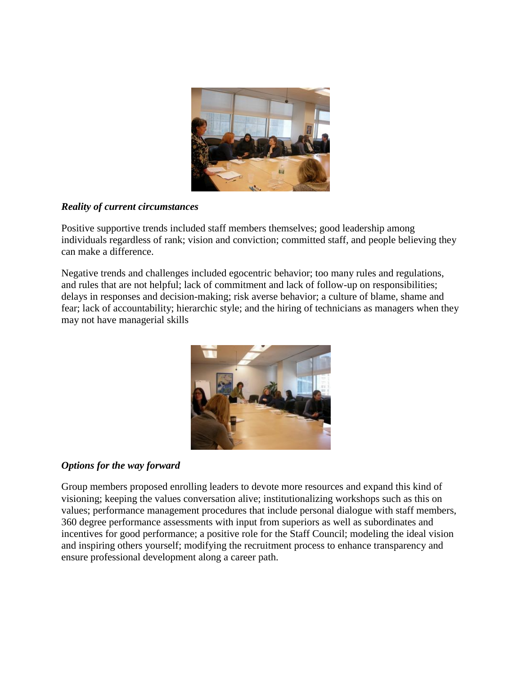

# *Reality of current circumstances*

Positive supportive trends included staff members themselves; good leadership among individuals regardless of rank; vision and conviction; committed staff, and people believing they can make a difference.

Negative trends and challenges included egocentric behavior; too many rules and regulations, and rules that are not helpful; lack of commitment and lack of follow-up on responsibilities; delays in responses and decision-making; risk averse behavior; a culture of blame, shame and fear; lack of accountability; hierarchic style; and the hiring of technicians as managers when they may not have managerial skills



# *Options for the way forward*

Group members proposed enrolling leaders to devote more resources and expand this kind of visioning; keeping the values conversation alive; institutionalizing workshops such as this on values; performance management procedures that include personal dialogue with staff members, 360 degree performance assessments with input from superiors as well as subordinates and incentives for good performance; a positive role for the Staff Council; modeling the ideal vision and inspiring others yourself; modifying the recruitment process to enhance transparency and ensure professional development along a career path.